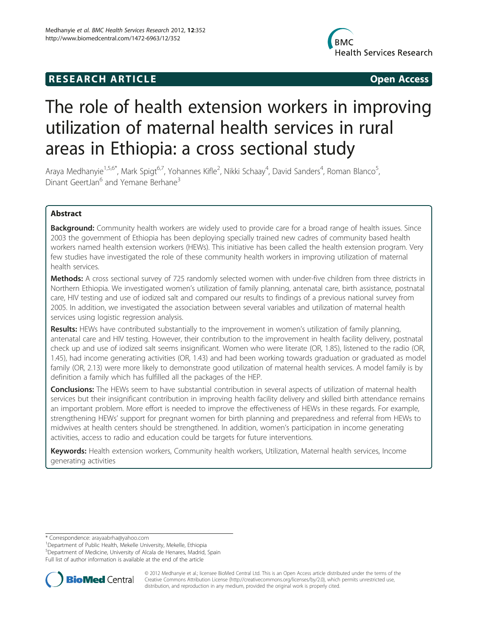# **RESEARCH ARTICLE Example 2014 CONSIDERING CONSIDERING CONSIDERING CONSIDERING CONSIDERING CONSIDERING CONSIDERING CONSIDERING CONSIDERING CONSIDERING CONSIDERING CONSIDERING CONSIDERING CONSIDERING CONSIDERING CONSIDE**



# The role of health extension workers in improving utilization of maternal health services in rural areas in Ethiopia: a cross sectional study

Araya Medhanyie<sup>1,5,6\*</sup>, Mark Spigt<sup>6,7</sup>, Yohannes Kifle<sup>2</sup>, Nikki Schaay<sup>4</sup>, David Sanders<sup>4</sup>, Roman Blanco<sup>5</sup> , Dinant GeertJan<sup>6</sup> and Yemane Berhane<sup>3</sup>

# Abstract

Background: Community health workers are widely used to provide care for a broad range of health issues. Since 2003 the government of Ethiopia has been deploying specially trained new cadres of community based health workers named health extension workers (HEWs). This initiative has been called the health extension program. Very few studies have investigated the role of these community health workers in improving utilization of maternal health services.

Methods: A cross sectional survey of 725 randomly selected women with under-five children from three districts in Northern Ethiopia. We investigated women's utilization of family planning, antenatal care, birth assistance, postnatal care, HIV testing and use of iodized salt and compared our results to findings of a previous national survey from 2005. In addition, we investigated the association between several variables and utilization of maternal health services using logistic regression analysis.

Results: HEWs have contributed substantially to the improvement in women's utilization of family planning, antenatal care and HIV testing. However, their contribution to the improvement in health facility delivery, postnatal check up and use of iodized salt seems insignificant. Women who were literate (OR, 1.85), listened to the radio (OR, 1.45), had income generating activities (OR, 1.43) and had been working towards graduation or graduated as model family (OR, 2.13) were more likely to demonstrate good utilization of maternal health services. A model family is by definition a family which has fulfilled all the packages of the HEP.

Conclusions: The HEWs seem to have substantial contribution in several aspects of utilization of maternal health services but their insignificant contribution in improving health facility delivery and skilled birth attendance remains an important problem. More effort is needed to improve the effectiveness of HEWs in these regards. For example, strengthening HEWs' support for pregnant women for birth planning and preparedness and referral from HEWs to midwives at health centers should be strengthened. In addition, women's participation in income generating activities, access to radio and education could be targets for future interventions.

Keywords: Health extension workers, Community health workers, Utilization, Maternal health services, Income generating activities

\* Correspondence: [arayaabrha@yahoo.com](mailto:arayaabrha@yahoo.com) <sup>1</sup>

5 Department of Medicine, University of Alcala de Henares, Madrid, Spain

Full list of author information is available at the end of the article



© 2012 Medhanyie et al.; licensee BioMed Central Ltd. This is an Open Access article distributed under the terms of the Creative Commons Attribution License (<http://creativecommons.org/licenses/by/2.0>), which permits unrestricted use, distribution, and reproduction in any medium, provided the original work is properly cited.

<sup>&</sup>lt;sup>1</sup>Department of Public Health, Mekelle University, Mekelle, Ethiopia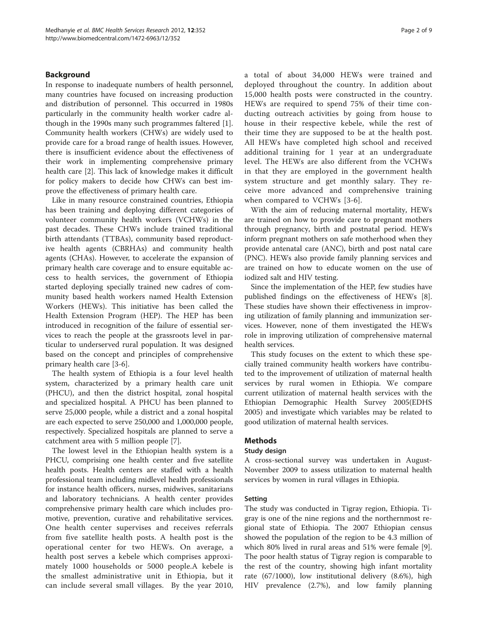# Background

In response to inadequate numbers of health personnel, many countries have focused on increasing production and distribution of personnel. This occurred in 1980s particularly in the community health worker cadre although in the 1990s many such programmes faltered [\[1](#page-7-0)]. Community health workers (CHWs) are widely used to provide care for a broad range of health issues. However, there is insufficient evidence about the effectiveness of their work in implementing comprehensive primary health care [\[2](#page-7-0)]. This lack of knowledge makes it difficult for policy makers to decide how CHWs can best improve the effectiveness of primary health care.

Like in many resource constrained countries, Ethiopia has been training and deploying different categories of volunteer community health workers (VCHWs) in the past decades. These CHWs include trained traditional birth attendants (TTBAs), community based reproductive health agents (CBRHAs) and community health agents (CHAs). However, to accelerate the expansion of primary health care coverage and to ensure equitable access to health services, the government of Ethiopia started deploying specially trained new cadres of community based health workers named Health Extension Workers (HEWs). This initiative has been called the Health Extension Program (HEP). The HEP has been introduced in recognition of the failure of essential services to reach the people at the grassroots level in particular to underserved rural population. It was designed based on the concept and principles of comprehensive primary health care [[3-6](#page-8-0)].

The health system of Ethiopia is a four level health system, characterized by a primary health care unit (PHCU), and then the district hospital, zonal hospital and specialized hospital. A PHCU has been planned to serve 25,000 people, while a district and a zonal hospital are each expected to serve 250,000 and 1,000,000 people, respectively. Specialized hospitals are planned to serve a catchment area with 5 million people [[7\]](#page-8-0).

The lowest level in the Ethiopian health system is a PHCU, comprising one health center and five satellite health posts. Health centers are staffed with a health professional team including midlevel health professionals for instance health officers, nurses, midwives, sanitarians and laboratory technicians. A health center provides comprehensive primary health care which includes promotive, prevention, curative and rehabilitative services. One health center supervises and receives referrals from five satellite health posts. A health post is the operational center for two HEWs. On average, a health post serves a kebele which comprises approximately 1000 households or 5000 people.A kebele is the smallest administrative unit in Ethiopia, but it can include several small villages. By the year 2010, a total of about 34,000 HEWs were trained and deployed throughout the country. In addition about 15,000 health posts were constructed in the country. HEWs are required to spend 75% of their time conducting outreach activities by going from house to house in their respective kebele, while the rest of their time they are supposed to be at the health post. All HEWs have completed high school and received additional training for 1 year at an undergraduate level. The HEWs are also different from the VCHWs in that they are employed in the government health system structure and get monthly salary. They receive more advanced and comprehensive training when compared to VCHWs [[3](#page-8-0)-[6\]](#page-8-0).

With the aim of reducing maternal mortality, HEWs are trained on how to provide care to pregnant mothers through pregnancy, birth and postnatal period. HEWs inform pregnant mothers on safe motherhood when they provide antenatal care (ANC), birth and post natal care (PNC). HEWs also provide family planning services and are trained on how to educate women on the use of iodized salt and HIV testing.

Since the implementation of the HEP, few studies have published findings on the effectiveness of HEWs [\[8](#page-8-0)]. These studies have shown their effectiveness in improving utilization of family planning and immunization services. However, none of them investigated the HEWs role in improving utilization of comprehensive maternal health services.

This study focuses on the extent to which these specially trained community health workers have contributed to the improvement of utilization of maternal health services by rural women in Ethiopia. We compare current utilization of maternal health services with the Ethiopian Demographic Health Survey 2005(EDHS 2005) and investigate which variables may be related to good utilization of maternal health services.

# Methods

# Study design

A cross-sectional survey was undertaken in August-November 2009 to assess utilization to maternal health services by women in rural villages in Ethiopia.

# Setting

The study was conducted in Tigray region, Ethiopia. Tigray is one of the nine regions and the northernmost regional state of Ethiopia. The 2007 Ethiopian census showed the population of the region to be 4.3 million of which 80% lived in rural areas and 51% were female [\[9](#page-8-0)]. The poor health status of Tigray region is comparable to the rest of the country, showing high infant mortality rate (67/1000), low institutional delivery (8.6%), high HIV prevalence (2.7%), and low family planning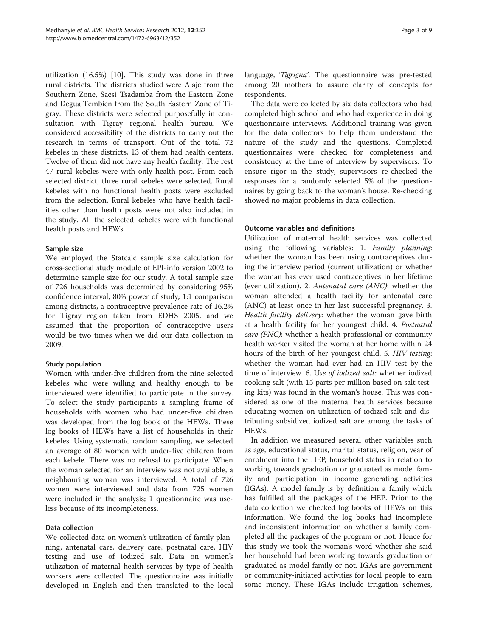utilization (16.5%) [\[10\]](#page-8-0). This study was done in three rural districts. The districts studied were Alaje from the Southern Zone, Saesi Tsadamba from the Eastern Zone and Degua Tembien from the South Eastern Zone of Tigray. These districts were selected purposefully in consultation with Tigray regional health bureau. We considered accessibility of the districts to carry out the research in terms of transport. Out of the total 72 kebeles in these districts, 13 of them had health centers. Twelve of them did not have any health facility. The rest 47 rural kebeles were with only health post. From each selected district, three rural kebeles were selected. Rural kebeles with no functional health posts were excluded from the selection. Rural kebeles who have health facilities other than health posts were not also included in the study. All the selected kebeles were with functional health posts and HEWs.

# Sample size

We employed the Statcalc sample size calculation for cross-sectional study module of EPI-info version 2002 to determine sample size for our study. A total sample size of 726 households was determined by considering 95% confidence interval, 80% power of study; 1:1 comparison among districts, a contraceptive prevalence rate of 16.2% for Tigray region taken from EDHS 2005, and we assumed that the proportion of contraceptive users would be two times when we did our data collection in 2009.

# Study population

Women with under-five children from the nine selected kebeles who were willing and healthy enough to be interviewed were identified to participate in the survey. To select the study participants a sampling frame of households with women who had under-five children was developed from the log book of the HEWs. These log books of HEWs have a list of households in their kebeles. Using systematic random sampling, we selected an average of 80 women with under-five children from each kebele. There was no refusal to participate. When the woman selected for an interview was not available, a neighbouring woman was interviewed. A total of 726 women were interviewed and data from 725 women were included in the analysis; 1 questionnaire was useless because of its incompleteness.

# Data collection

We collected data on women's utilization of family planning, antenatal care, delivery care, postnatal care, HIV testing and use of iodized salt. Data on women's utilization of maternal health services by type of health workers were collected. The questionnaire was initially developed in English and then translated to the local language, 'Tigrigna'. The questionnaire was pre-tested among 20 mothers to assure clarity of concepts for respondents.

The data were collected by six data collectors who had completed high school and who had experience in doing questionnaire interviews. Additional training was given for the data collectors to help them understand the nature of the study and the questions. Completed questionnaires were checked for completeness and consistency at the time of interview by supervisors. To ensure rigor in the study, supervisors re-checked the responses for a randomly selected 5% of the questionnaires by going back to the woman's house. Re-checking showed no major problems in data collection.

# Outcome variables and definitions

Utilization of maternal health services was collected using the following variables: 1. Family planning: whether the woman has been using contraceptives during the interview period (current utilization) or whether the woman has ever used contraceptives in her lifetime (ever utilization). 2. Antenatal care (ANC): whether the woman attended a health facility for antenatal care (ANC) at least once in her last successful pregnancy. 3. Health facility delivery: whether the woman gave birth at a health facility for her youngest child. 4. Postnatal care (PNC): whether a health professional or community health worker visited the woman at her home within 24 hours of the birth of her youngest child. 5. HIV testing: whether the woman had ever had an HIV test by the time of interview. 6. Use of iodized salt: whether iodized cooking salt (with 15 parts per million based on salt testing kits) was found in the woman's house. This was considered as one of the maternal health services because educating women on utilization of iodized salt and distributing subsidized iodized salt are among the tasks of HEWs.

In addition we measured several other variables such as age, educational status, marital status, religion, year of enrolment into the HEP, household status in relation to working towards graduation or graduated as model family and participation in income generating activities (IGAs). A model family is by definition a family which has fulfilled all the packages of the HEP. Prior to the data collection we checked log books of HEWs on this information. We found the log books had incomplete and inconsistent information on whether a family completed all the packages of the program or not. Hence for this study we took the woman's word whether she said her household had been working towards graduation or graduated as model family or not. IGAs are government or community-initiated activities for local people to earn some money. These IGAs include irrigation schemes,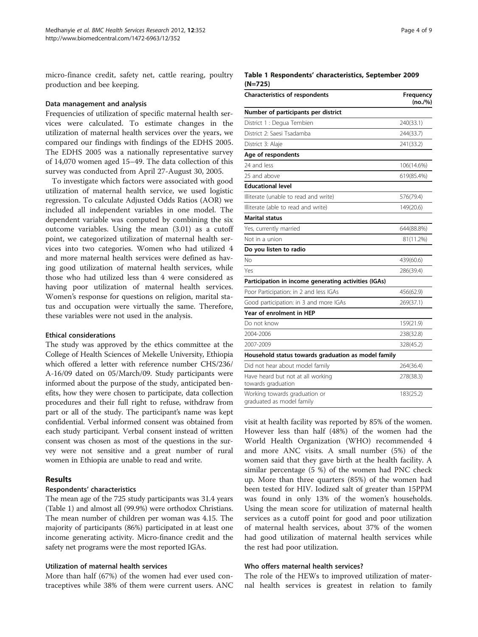micro-finance credit, safety net, cattle rearing, poultry production and bee keeping.

#### Data management and analysis

Frequencies of utilization of specific maternal health services were calculated. To estimate changes in the utilization of maternal health services over the years, we compared our findings with findings of the EDHS 2005. The EDHS 2005 was a nationally representative survey of 14,070 women aged 15–49. The data collection of this survey was conducted from April 27-August 30, 2005.

To investigate which factors were associated with good utilization of maternal health service, we used logistic regression. To calculate Adjusted Odds Ratios (AOR) we included all independent variables in one model. The dependent variable was computed by combining the six outcome variables. Using the mean (3.01) as a cutoff point, we categorized utilization of maternal health services into two categories. Women who had utilized 4 and more maternal health services were defined as having good utilization of maternal health services, while those who had utilized less than 4 were considered as having poor utilization of maternal health services. Women's response for questions on religion, marital status and occupation were virtually the same. Therefore, these variables were not used in the analysis.

#### Ethical considerations

The study was approved by the ethics committee at the College of Health Sciences of Mekelle University, Ethiopia which offered a letter with reference number CHS/236/ A-16/09 dated on 05/March/09. Study participants were informed about the purpose of the study, anticipated benefits, how they were chosen to participate, data collection procedures and their full right to refuse, withdraw from part or all of the study. The participant's name was kept confidential. Verbal informed consent was obtained from each study participant. Verbal consent instead of written consent was chosen as most of the questions in the survey were not sensitive and a great number of rural women in Ethiopia are unable to read and write.

# Results

#### Respondents' characteristics

The mean age of the 725 study participants was 31.4 years (Table 1) and almost all (99.9%) were orthodox Christians. The mean number of children per woman was 4.15. The majority of participants (86%) participated in at least one income generating activity. Micro-finance credit and the safety net programs were the most reported IGAs.

#### Utilization of maternal health services

More than half (67%) of the women had ever used contraceptives while 38% of them were current users. ANC

# Table 1 Respondents' characteristics, September 2009 (N=725)

| <b>Characteristics of respondents</b>                      | Frequency<br>(no./%) |
|------------------------------------------------------------|----------------------|
| Number of participants per district                        |                      |
| District 1 : Degua Tembien                                 | 240(33.1)            |
| District 2: Saesi Tsadamba                                 | 244(33.7)            |
| District 3: Alaje                                          | 241(33.2)            |
| Age of respondents                                         |                      |
| 24 and less                                                | 106(14.6%)           |
| 25 and above                                               | 619(85.4%)           |
| <b>Educational level</b>                                   |                      |
| Illiterate (unable to read and write)                      | 576(79.4)            |
| Illiterate (able to read and write)                        | 149(20.6)            |
| <b>Marital status</b>                                      |                      |
| Yes, currently married                                     | 644(88.8%)           |
| Not in a union                                             | 81(11.2%)            |
| Do you listen to radio                                     |                      |
| No                                                         | 439(60.6)            |
| Yes                                                        | 286(39.4)            |
| Participation in income generating activities (IGAs)       |                      |
| Poor Participation: in 2 and less IGAs                     | 456(62.9)            |
| Good participation: in 3 and more IGAs                     | 269(37.1)            |
| Year of enrolment in HEP                                   |                      |
| Do not know                                                | 159(21.9)            |
| 2004-2006                                                  | 238(32.8)            |
| 2007-2009                                                  | 328(45.2)            |
| Household status towards graduation as model family        |                      |
| Did not hear about model family                            | 264(36.4)            |
| Have heard but not at all working<br>towards graduation    | 278(38.3)            |
| Working towards graduation or<br>graduated as model family | 183(25.2)            |

visit at health facility was reported by 85% of the women. However less than half (48%) of the women had the World Health Organization (WHO) recommended 4 and more ANC visits. A small number (5%) of the women said that they gave birth at the health facility. A similar percentage (5 %) of the women had PNC check up. More than three quarters (85%) of the women had been tested for HIV. Iodized salt of greater than 15PPM was found in only 13% of the women's households. Using the mean score for utilization of maternal health services as a cutoff point for good and poor utilization of maternal health services, about 37% of the women had good utilization of maternal health services while the rest had poor utilization.

#### Who offers maternal health services?

The role of the HEWs to improved utilization of maternal health services is greatest in relation to family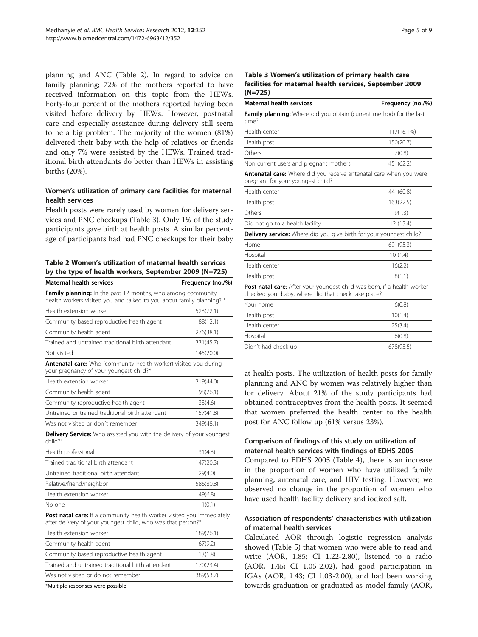planning and ANC (Table 2). In regard to advice on family planning; 72% of the mothers reported to have received information on this topic from the HEWs. Forty-four percent of the mothers reported having been visited before delivery by HEWs. However, postnatal care and especially assistance during delivery still seem to be a big problem. The majority of the women (81%) delivered their baby with the help of relatives or friends and only 7% were assisted by the HEWs. Trained traditional birth attendants do better than HEWs in assisting births (20%).

# Women's utilization of primary care facilities for maternal health services

Health posts were rarely used by women for delivery services and PNC checkups (Table 3). Only 1% of the study participants gave birth at health posts. A similar percentage of participants had had PNC checkups for their baby

| Table 2 Women's utilization of maternal health services |  |
|---------------------------------------------------------|--|
| by the type of health workers, September 2009 (N=725)   |  |

| <b>Maternal health services</b>                                                                                                       | Frequency (no./%) |
|---------------------------------------------------------------------------------------------------------------------------------------|-------------------|
| Family planning: In the past 12 months, who among community<br>health workers visited you and talked to you about family planning? *  |                   |
| Health extension worker                                                                                                               | 523(72.1)         |
| Community based reproductive health agent                                                                                             | 88(12.1)          |
| Community health agent                                                                                                                | 276(38.1)         |
| Trained and untrained traditional birth attendant                                                                                     | 331(45.7)         |
| Not visited                                                                                                                           | 145(20.0)         |
| <b>Antenatal care:</b> Who (community health worker) visited you during<br>your pregnancy of your youngest child?*                    |                   |
| Health extension worker                                                                                                               | 319(44.0)         |
| Community health agent                                                                                                                | 98(26.1)          |
| Community reproductive health agent                                                                                                   | 33(4.6)           |
| Untrained or trained traditional birth attendant                                                                                      | 157(41.8)         |
| Was not visited or don't remember                                                                                                     | 349(48.1)         |
| Delivery Service: Who assisted you with the delivery of your youngest<br>child?*                                                      |                   |
| Health professional                                                                                                                   | 31(4.3)           |
| Trained traditional birth attendant                                                                                                   | 147(20.3)         |
| Untrained traditional birth attendant                                                                                                 | 29(4.0)           |
| Relative/friend/neighbor                                                                                                              | 586(80.8)         |
| Health extension worker                                                                                                               | 49(6.8)           |
| No one                                                                                                                                | 1(0.1)            |
| Post natal care: If a community health worker visited you immediately<br>after delivery of your youngest child, who was that person?* |                   |
| Health extension worker                                                                                                               | 189(26.1)         |
| Community health agent                                                                                                                | 67(9.2)           |
| Community based reproductive health agent                                                                                             | 13(1.8)           |
| Trained and untrained traditional birth attendant                                                                                     | 170(23.4)         |
| Was not visited or do not remember                                                                                                    | 389(53.7)         |
| .<br><b>11. L</b>                                                                                                                     |                   |

\*Multiple responses were possible.

| Table 3 Women's utilization of primary health care      |
|---------------------------------------------------------|
| facilities for maternal health services, September 2009 |
| $(N=725)$                                               |

| <b>Maternal health services</b>                                                                                                | Frequency (no./%) |
|--------------------------------------------------------------------------------------------------------------------------------|-------------------|
| Family planning: Where did you obtain (current method) for the last<br>time?                                                   |                   |
| Health center                                                                                                                  | 117(16.1%)        |
| Health post                                                                                                                    | 150(20.7)         |
| Others                                                                                                                         | 7(0.8)            |
| Non current users and pregnant mothers                                                                                         | 451(62.2)         |
| Antenatal care: Where did you receive antenatal care when you were<br>pregnant for your youngest child?                        |                   |
| Health center                                                                                                                  | 441(60.8)         |
| Health post                                                                                                                    | 163(22.5)         |
| Others                                                                                                                         | 9(1.3)            |
| Did not go to a health facility                                                                                                | 112 (15.4)        |
| Delivery service: Where did you give birth for your youngest child?                                                            |                   |
| Home                                                                                                                           | 691(95.3)         |
| Hospital                                                                                                                       | 10(1.4)           |
| Health center                                                                                                                  | 16(2.2)           |
| Health post                                                                                                                    | 8(1.1)            |
| Post natal care: After your youngest child was born, if a health worker<br>checked your baby, where did that check take place? |                   |
| Your home                                                                                                                      | 6(0.8)            |
| Health post                                                                                                                    | 10(1.4)           |
| Health center                                                                                                                  | 25(3.4)           |
| Hospital                                                                                                                       | 6(0.8)            |
| Didn't had check up                                                                                                            | 678(93.5)         |

at health posts. The utilization of health posts for family planning and ANC by women was relatively higher than for delivery. About 21% of the study participants had obtained contraceptives from the health posts. It seemed that women preferred the health center to the health post for ANC follow up (61% versus 23%).

# Comparison of findings of this study on utilization of maternal health services with findings of EDHS 2005

Compared to EDHS 2005 (Table [4\)](#page-5-0), there is an increase in the proportion of women who have utilized family planning, antenatal care, and HIV testing. However, we observed no change in the proportion of women who have used health facility delivery and iodized salt.

# Association of respondents' characteristics with utilization of maternal health services

Calculated AOR through logistic regression analysis showed (Table [5\)](#page-5-0) that women who were able to read and write (AOR, 1.85; CI 1.22-2.80), listened to a radio (AOR, 1.45; CI 1.05-2.02), had good participation in IGAs (AOR, 1.43; CI 1.03-2.00), and had been working towards graduation or graduated as model family (AOR,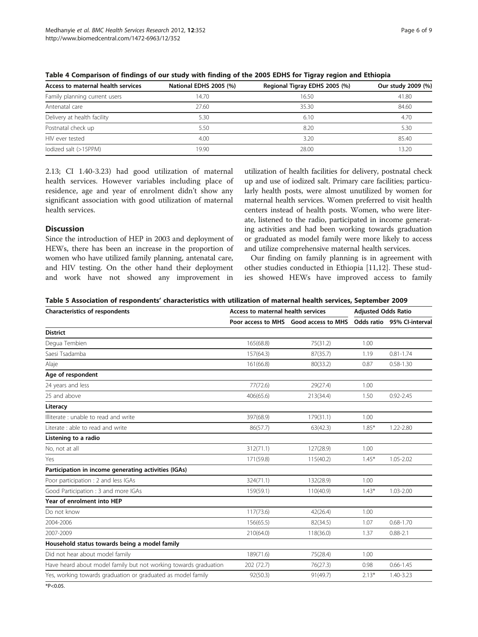| Access to maternal health services | National EDHS 2005 (%) | Regional Tigray EDHS 2005 (%) | Our study 2009 (%) |
|------------------------------------|------------------------|-------------------------------|--------------------|
| Family planning current users      | 14.70                  | 16.50                         | 41.80              |
| Antenatal care                     | 27.60                  | 35.30                         | 84.60              |
| Delivery at health facility        | 5.30                   | 6.10                          | 4.70               |
| Postnatal check up                 | 5.50                   | 8.20                          | 5.30               |
| HIV ever tested                    | 4.00                   | 3.20                          | 85.40              |
| lodized salt (>15PPM)              | 19.90                  | 28.00                         | 13.20              |

<span id="page-5-0"></span>Table 4 Comparison of findings of our study with finding of the 2005 EDHS for Tigray region and Ethiopia

2.13; CI 1.40-3.23) had good utilization of maternal health services. However variables including place of residence, age and year of enrolment didn't show any significant association with good utilization of maternal health services.

# **Discussion**

Since the introduction of HEP in 2003 and deployment of HEWs, there has been an increase in the proportion of women who have utilized family planning, antenatal care, and HIV testing. On the other hand their deployment and work have not showed any improvement in

utilization of health facilities for delivery, postnatal check up and use of iodized salt. Primary care facilities; particularly health posts, were almost unutilized by women for maternal health services. Women preferred to visit health centers instead of health posts. Women, who were literate, listened to the radio, participated in income generating activities and had been working towards graduation or graduated as model family were more likely to access and utilize comprehensive maternal health services.

Our finding on family planning is in agreement with other studies conducted in Ethiopia [\[11,12](#page-8-0)]. These studies showed HEWs have improved access to family

Table 5 Association of respondents' characteristics with utilization of maternal health services, September 2009

| <b>Characteristics of respondents</b>                            | Access to maternal health services |                                       | <b>Adjusted Odds Ratio</b> |                            |
|------------------------------------------------------------------|------------------------------------|---------------------------------------|----------------------------|----------------------------|
|                                                                  |                                    | Poor access to MHS Good access to MHS |                            | Odds ratio 95% CI-interval |
| <b>District</b>                                                  |                                    |                                       |                            |                            |
| Degua Tembien                                                    | 165(68.8)                          | 75(31.2)                              | 1.00                       |                            |
| Saesi Tsadamba                                                   | 157(64.3)                          | 87(35.7)                              | 1.19                       | $0.81 - 1.74$              |
| Alaje                                                            | 161(66.8)                          | 80(33.2)                              | 0.87                       | $0.58 - 1.30$              |
| Age of respondent                                                |                                    |                                       |                            |                            |
| 24 years and less                                                | 77(72.6)                           | 29(27.4)                              | 1.00                       |                            |
| 25 and above                                                     | 406(65.6)                          | 213(34.4)                             | 1.50                       | $0.92 - 2.45$              |
| Literacy                                                         |                                    |                                       |                            |                            |
| Illiterate : unable to read and write                            | 397(68.9)                          | 179(31.1)                             | 1.00                       |                            |
| Literate : able to read and write                                | 86(57.7)                           | 63(42.3)                              | $1.85*$                    | 1.22-2.80                  |
| Listening to a radio                                             |                                    |                                       |                            |                            |
| No, not at all                                                   | 312(71.1)                          | 127(28.9)                             | 1.00                       |                            |
| Yes                                                              | 171(59.8)                          | 115(40.2)                             | $1.45*$                    | 1.05-2.02                  |
| Participation in income generating activities (IGAs)             |                                    |                                       |                            |                            |
| Poor participation : 2 and less IGAs                             | 324(71.1)                          | 132(28.9)                             | 1.00                       |                            |
| Good Participation : 3 and more IGAs                             | 159(59.1)                          | 110(40.9)                             | $1.43*$                    | 1.03-2.00                  |
| Year of enrolment into HEP                                       |                                    |                                       |                            |                            |
| Do not know                                                      | 117(73.6)                          | 42(26.4)                              | 1.00                       |                            |
| 2004-2006                                                        | 156(65.5)                          | 82(34.5)                              | 1.07                       | $0.68 - 1.70$              |
| 2007-2009                                                        | 210(64.0)                          | 118(36.0)                             | 1.37                       | $0.88 - 2.1$               |
| Household status towards being a model family                    |                                    |                                       |                            |                            |
| Did not hear about model family                                  | 189(71.6)                          | 75(28.4)                              | 1.00                       |                            |
| Have heard about model family but not working towards graduation | 202 (72.7)                         | 76(27.3)                              | 0.98                       | $0.66 - 1.45$              |
| Yes, working towards graduation or graduated as model family     | 92(50.3)                           | 91(49.7)                              | $2.13*$                    | 1.40-3.23                  |
|                                                                  |                                    |                                       |                            |                            |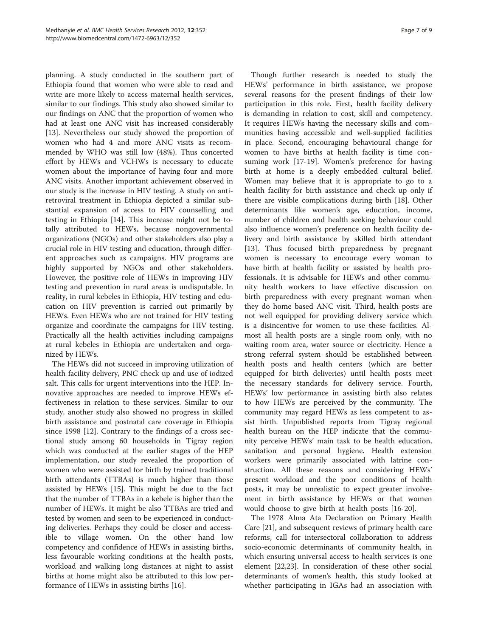planning. A study conducted in the southern part of Ethiopia found that women who were able to read and write are more likely to access maternal health services, similar to our findings. This study also showed similar to our findings on ANC that the proportion of women who had at least one ANC visit has increased considerably [[13\]](#page-8-0). Nevertheless our study showed the proportion of women who had 4 and more ANC visits as recommended by WHO was still low (48%). Thus concerted effort by HEWs and VCHWs is necessary to educate women about the importance of having four and more ANC visits. Another important achievement observed in our study is the increase in HIV testing. A study on antiretroviral treatment in Ethiopia depicted a similar substantial expansion of access to HIV counselling and testing in Ethiopia [[14\]](#page-8-0). This increase might not be totally attributed to HEWs, because nongovernmental organizations (NGOs) and other stakeholders also play a crucial role in HIV testing and education, through different approaches such as campaigns. HIV programs are highly supported by NGOs and other stakeholders. However, the positive role of HEWs in improving HIV testing and prevention in rural areas is undisputable. In reality, in rural kebeles in Ethiopia, HIV testing and education on HIV prevention is carried out primarily by HEWs. Even HEWs who are not trained for HIV testing organize and coordinate the campaigns for HIV testing. Practically all the health activities including campaigns at rural kebeles in Ethiopia are undertaken and organized by HEWs.

The HEWs did not succeed in improving utilization of health facility delivery, PNC check up and use of iodized salt. This calls for urgent interventions into the HEP. Innovative approaches are needed to improve HEWs effectiveness in relation to these services. Similar to our study, another study also showed no progress in skilled birth assistance and postnatal care coverage in Ethiopia since 1998 [\[12](#page-8-0)]. Contrary to the findings of a cross sectional study among 60 households in Tigray region which was conducted at the earlier stages of the HEP implementation, our study revealed the proportion of women who were assisted for birth by trained traditional birth attendants (TTBAs) is much higher than those assisted by HEWs [\[15\]](#page-8-0). This might be due to the fact that the number of TTBAs in a kebele is higher than the number of HEWs. It might be also TTBAs are tried and tested by women and seen to be experienced in conducting deliveries. Perhaps they could be closer and accessible to village women. On the other hand low competency and confidence of HEWs in assisting births, less favourable working conditions at the health posts, workload and walking long distances at night to assist births at home might also be attributed to this low performance of HEWs in assisting births [[16](#page-8-0)].

Though further research is needed to study the HEWs' performance in birth assistance, we propose several reasons for the present findings of their low participation in this role. First, health facility delivery is demanding in relation to cost, skill and competency. It requires HEWs having the necessary skills and communities having accessible and well-supplied facilities in place. Second, encouraging behavioural change for women to have births at health facility is time consuming work [\[17-19](#page-8-0)]. Women's preference for having birth at home is a deeply embedded cultural belief. Women may believe that it is appropriate to go to a health facility for birth assistance and check up only if there are visible complications during birth [\[18\]](#page-8-0). Other determinants like women's age, education, income, number of children and health seeking behaviour could also influence women's preference on health facility delivery and birth assistance by skilled birth attendant [[13\]](#page-8-0). Thus focused birth preparedness by pregnant women is necessary to encourage every woman to have birth at health facility or assisted by health professionals. It is advisable for HEWs and other community health workers to have effective discussion on birth preparedness with every pregnant woman when they do home based ANC visit. Third, health posts are not well equipped for providing delivery service which is a disincentive for women to use these facilities. Almost all health posts are a single room only, with no waiting room area, water source or electricity. Hence a strong referral system should be established between health posts and health centers (which are better equipped for birth deliveries) until health posts meet the necessary standards for delivery service. Fourth, HEWs' low performance in assisting birth also relates to how HEWs are perceived by the community. The community may regard HEWs as less competent to assist birth. Unpublished reports from Tigray regional health bureau on the HEP indicate that the community perceive HEWs' main task to be health education, sanitation and personal hygiene. Health extension workers were primarily associated with latrine construction. All these reasons and considering HEWs' present workload and the poor conditions of health posts, it may be unrealistic to expect greater involvement in birth assistance by HEWs or that women would choose to give birth at health posts [[16](#page-8-0)-[20\]](#page-8-0).

The 1978 Alma Ata Declaration on Primary Health Care [[21\]](#page-8-0), and subsequent reviews of primary health care reforms, call for intersectoral collaboration to address socio-economic determinants of community health, in which ensuring universal access to health services is one element [\[22,23\]](#page-8-0). In consideration of these other social determinants of women's health, this study looked at whether participating in IGAs had an association with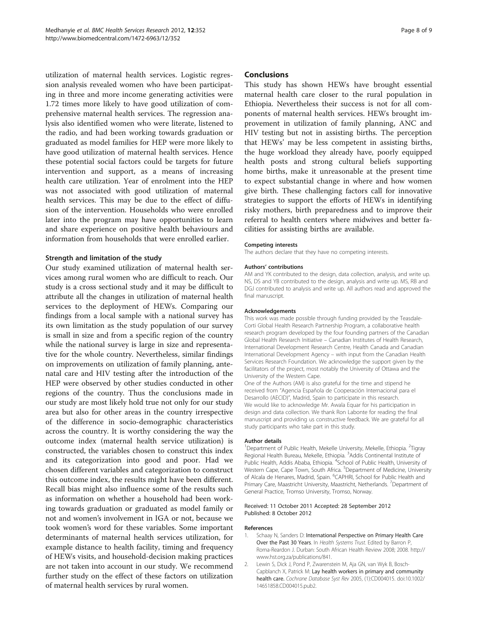<span id="page-7-0"></span>utilization of maternal health services. Logistic regression analysis revealed women who have been participating in three and more income generating activities were 1.72 times more likely to have good utilization of comprehensive maternal health services. The regression analysis also identified women who were literate, listened to the radio, and had been working towards graduation or graduated as model families for HEP were more likely to have good utilization of maternal health services. Hence these potential social factors could be targets for future intervention and support, as a means of increasing health care utilization. Year of enrolment into the HEP was not associated with good utilization of maternal health services. This may be due to the effect of diffusion of the intervention. Households who were enrolled later into the program may have opportunities to learn and share experience on positive health behaviours and information from households that were enrolled earlier.

# Strength and limitation of the study

Our study examined utilization of maternal health services among rural women who are difficult to reach. Our study is a cross sectional study and it may be difficult to attribute all the changes in utilization of maternal health services to the deployment of HEWs. Comparing our findings from a local sample with a national survey has its own limitation as the study population of our survey is small in size and from a specific region of the country while the national survey is large in size and representative for the whole country. Nevertheless, similar findings on improvements on utilization of family planning, antenatal care and HIV testing after the introduction of the HEP were observed by other studies conducted in other regions of the country. Thus the conclusions made in our study are most likely hold true not only for our study area but also for other areas in the country irrespective of the difference in socio-demographic characteristics across the country. It is worthy considering the way the outcome index (maternal health service utilization) is constructed, the variables chosen to construct this index and its categorization into good and poor. Had we chosen different variables and categorization to construct this outcome index, the results might have been different. Recall bias might also influence some of the results such as information on whether a household had been working towards graduation or graduated as model family or not and women's involvement in IGA or not, because we took women's word for these variables. Some important determinants of maternal health services utilization, for example distance to health facility, timing and frequency of HEWs visits, and household-decision making practices are not taken into account in our study. We recommend further study on the effect of these factors on utilization of maternal health services by rural women.

# Conclusions

This study has shown HEWs have brought essential maternal health care closer to the rural population in Ethiopia. Nevertheless their success is not for all components of maternal health services. HEWs brought improvement in utilization of family planning, ANC and HIV testing but not in assisting births. The perception that HEWs' may be less competent in assisting births, the huge workload they already have, poorly equipped health posts and strong cultural beliefs supporting home births, make it unreasonable at the present time to expect substantial change in where and how women give birth. These challenging factors call for innovative strategies to support the efforts of HEWs in identifying risky mothers, birth preparedness and to improve their referral to health centers where midwives and better facilities for assisting births are available.

#### Competing interests

The authors declare that they have no competing interests.

#### Authors' contributions

AM and YK contributed to the design, data collection, analysis, and write up. NS, DS and YB contributed to the design, analysis and write up. MS, RB and DGJ contributed to analysis and write up. All authors read and approved the final manuscript.

#### Acknowledgements

This work was made possible through funding provided by the Teasdale-Corti Global Health Research Partnership Program, a collaborative health research program developed by the four founding partners of the Canadian Global Health Research Initiative – Canadian Institutes of Health Research, International Development Research Centre, Health Canada and Canadian International Development Agency – with input from the Canadian Health Services Research Foundation. We acknowledge the support given by the facilitators of the project, most notably the University of Ottawa and the University of the Western Cape.

One of the Authors (AM) is also grateful for the time and stipend he received from "Agencia Española de Cooperación Internacional para el Desarrollo (AECID)", Madrid, Spain to participate in this research. We would like to acknowledge Mr. Awala Equar for his participation in design and data collection. We thank Ron Labonte for reading the final manuscript and providing us constructive feedback. We are grateful for all study participants who take part in this study.

#### Author details

<sup>1</sup>Department of Public Health, Mekelle University, Mekelle, Ethiopia. <sup>2</sup>Tigray Regional Health Bureau, Mekelle, Ethiopia. <sup>3</sup>Addis Continental Institute of Public Health, Addis Ababa, Ethiopia. <sup>4</sup>School of Public Health, University of Western Cape, Cape Town, South Africa. <sup>5</sup>Department of Medicine, University of Alcala de Henares, Madrid, Spain. <sup>6</sup>CAPHRI, School for Public Health and Primary Care, Maastricht University, Maastricht, Netherlands. <sup>7</sup> Department of General Practice, Tromso University, Tromso, Norway.

#### Received: 11 October 2011 Accepted: 28 September 2012 Published: 8 October 2012

#### References

- 1. Schaay N, Sanders D: International Perspective on Primary Health Care Over the Past 30 Years. In Health Systems Trust. Edited by Barron P, Roma-Reardon J. Durban: South African Health Review 2008; 2008. http:// www.hst.org.za/publications/841.
- 2. Lewin S, Dick J, Pond P, Zwarenstein M, Aja GN, van Wyk B, Bosch-Capblanch X, Patrick M: Lay health workers in primary and community health care. Cochrane Database Syst Rev 2005, (1):CD004015. doi[:10.1002/](http://dx.doi.org/10.1002/14651858.CD004015.pub2) [14651858.CD004015.pub2](http://dx.doi.org/10.1002/14651858.CD004015.pub2).